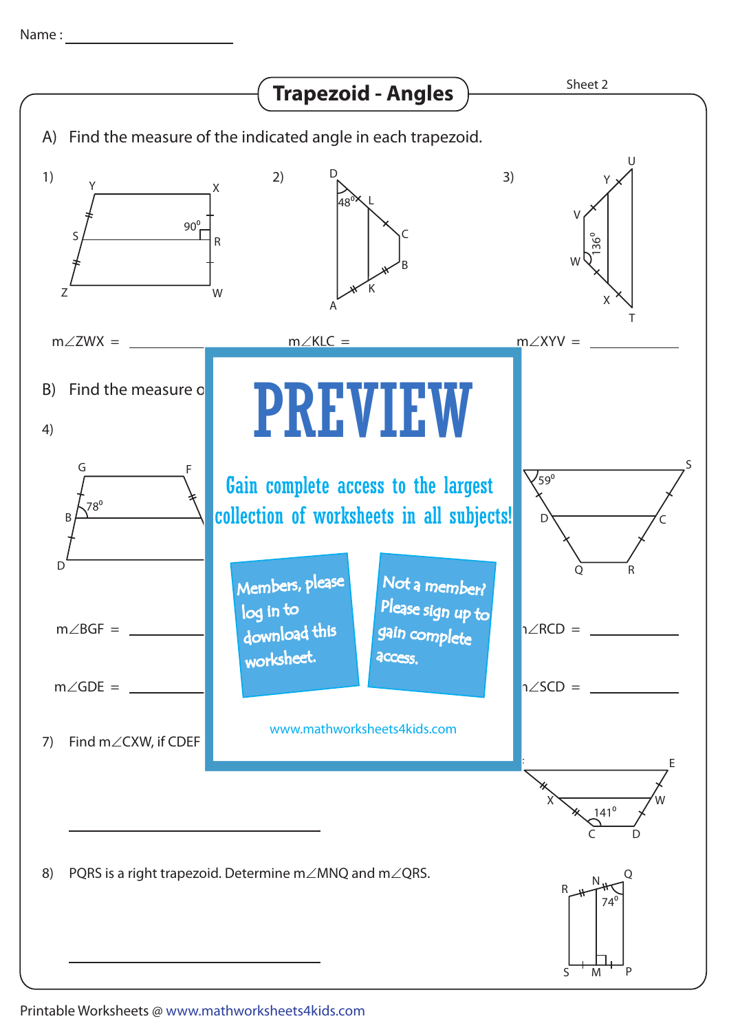